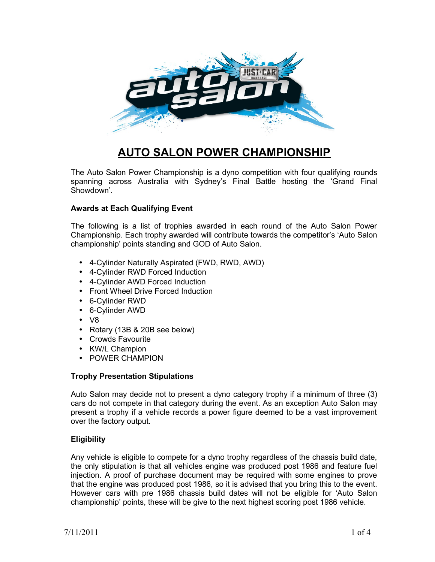

# **AUTO SALON POWER CHAMPIONSHIP**

The Auto Salon Power Championship is a dyno competition with four qualifying rounds spanning across Australia with Sydney's Final Battle hosting the 'Grand Final Showdown'.

# **Awards at Each Qualifying Event**

The following is a list of trophies awarded in each round of the Auto Salon Power Championship. Each trophy awarded will contribute towards the competitor's 'Auto Salon championship' points standing and GOD of Auto Salon.

- 4-Cylinder Naturally Aspirated (FWD, RWD, AWD)
- 4-Cylinder RWD Forced Induction
- 4-Cylinder AWD Forced Induction
- Front Wheel Drive Forced Induction
- 6-Cylinder RWD
- 6-Cylinder AWD
- V8
- Rotary (13B & 20B see below)
- Crowds Favourite
- KW/L Champion
- POWER CHAMPION

# **Trophy Presentation Stipulations**

Auto Salon may decide not to present a dyno category trophy if a minimum of three (3) cars do not compete in that category during the event. As an exception Auto Salon may present a trophy if a vehicle records a power figure deemed to be a vast improvement over the factory output.

# **Eligibility**

Any vehicle is eligible to compete for a dyno trophy regardless of the chassis build date, the only stipulation is that all vehicles engine was produced post 1986 and feature fuel injection. A proof of purchase document may be required with some engines to prove that the engine was produced post 1986, so it is advised that you bring this to the event. However cars with pre 1986 chassis build dates will not be eligible for 'Auto Salon championship' points, these will be give to the next highest scoring post 1986 vehicle.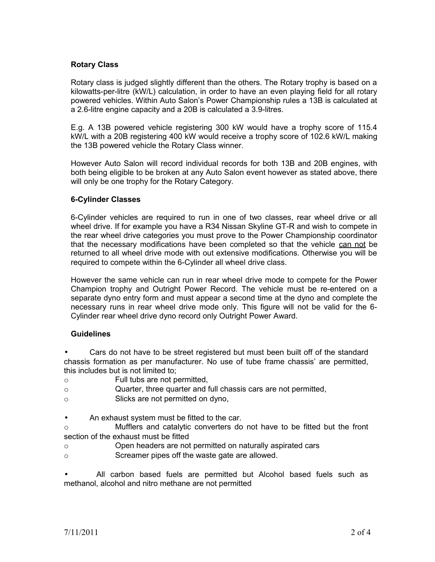# **Rotary Class**

Rotary class is judged slightly different than the others. The Rotary trophy is based on a kilowatts-per-litre (kW/L) calculation, in order to have an even playing field for all rotary powered vehicles. Within Auto Salon's Power Championship rules a 13B is calculated at a 2.6-litre engine capacity and a 20B is calculated a 3.9-litres.

E.g. A 13B powered vehicle registering 300 kW would have a trophy score of 115.4 kW/L with a 20B registering 400 kW would receive a trophy score of 102.6 kW/L making the 13B powered vehicle the Rotary Class winner.

However Auto Salon will record individual records for both 13B and 20B engines, with both being eligible to be broken at any Auto Salon event however as stated above, there will only be one trophy for the Rotary Category.

# **6-Cylinder Classes**

6-Cylinder vehicles are required to run in one of two classes, rear wheel drive or all wheel drive. If for example you have a R34 Nissan Skyline GT-R and wish to compete in the rear wheel drive categories you must prove to the Power Championship coordinator that the necessary modifications have been completed so that the vehicle can not be returned to all wheel drive mode with out extensive modifications. Otherwise you will be required to compete within the 6-Cylinder all wheel drive class.

However the same vehicle can run in rear wheel drive mode to compete for the Power Champion trophy and Outright Power Record. The vehicle must be re-entered on a separate dyno entry form and must appear a second time at the dyno and complete the necessary runs in rear wheel drive mode only. This figure will not be valid for the 6- Cylinder rear wheel drive dyno record only Outright Power Award.

# **Guidelines**

• Cars do not have to be street registered but must been built off of the standard chassis formation as per manufacturer. No use of tube frame chassis' are permitted, this includes but is not limited to;

- o Full tubs are not permitted,
- o Quarter, three quarter and full chassis cars are not permitted,
- o Slicks are not permitted on dyno,
- An exhaust system must be fitted to the car.

o Mufflers and catalytic converters do not have to be fitted but the front section of the exhaust must be fitted

- o Open headers are not permitted on naturally aspirated cars
- o Screamer pipes off the waste gate are allowed.

• All carbon based fuels are permitted but Alcohol based fuels such as methanol, alcohol and nitro methane are not permitted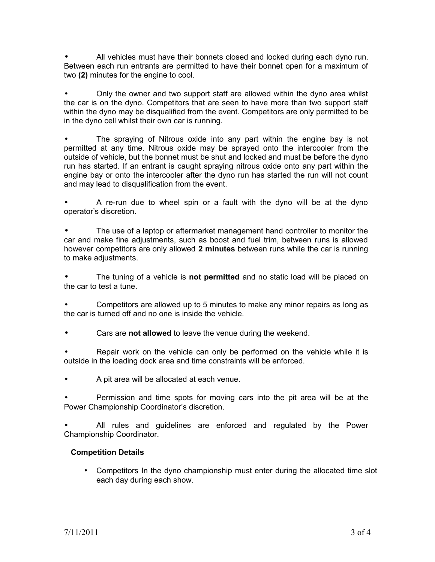• All vehicles must have their bonnets closed and locked during each dyno run. Between each run entrants are permitted to have their bonnet open for a maximum of two **(2)** minutes for the engine to cool.

• Only the owner and two support staff are allowed within the dyno area whilst the car is on the dyno. Competitors that are seen to have more than two support staff within the dyno may be disqualified from the event. Competitors are only permitted to be in the dyno cell whilst their own car is running.

The spraying of Nitrous oxide into any part within the engine bay is not permitted at any time. Nitrous oxide may be sprayed onto the intercooler from the outside of vehicle, but the bonnet must be shut and locked and must be before the dyno run has started. If an entrant is caught spraying nitrous oxide onto any part within the engine bay or onto the intercooler after the dyno run has started the run will not count and may lead to disqualification from the event.

• A re-run due to wheel spin or a fault with the dyno will be at the dyno operator's discretion.

• The use of a laptop or aftermarket management hand controller to monitor the car and make fine adjustments, such as boost and fuel trim, between runs is allowed however competitors are only allowed **2 minutes** between runs while the car is running to make adjustments.

• The tuning of a vehicle is **not permitted** and no static load will be placed on the car to test a tune.

• Competitors are allowed up to 5 minutes to make any minor repairs as long as the car is turned off and no one is inside the vehicle.

• Cars are **not allowed** to leave the venue during the weekend.

• Repair work on the vehicle can only be performed on the vehicle while it is outside in the loading dock area and time constraints will be enforced.

• A pit area will be allocated at each venue.

• Permission and time spots for moving cars into the pit area will be at the Power Championship Coordinator's discretion.

All rules and guidelines are enforced and regulated by the Power Championship Coordinator.

# **Competition Details**

• Competitors In the dyno championship must enter during the allocated time slot each day during each show.